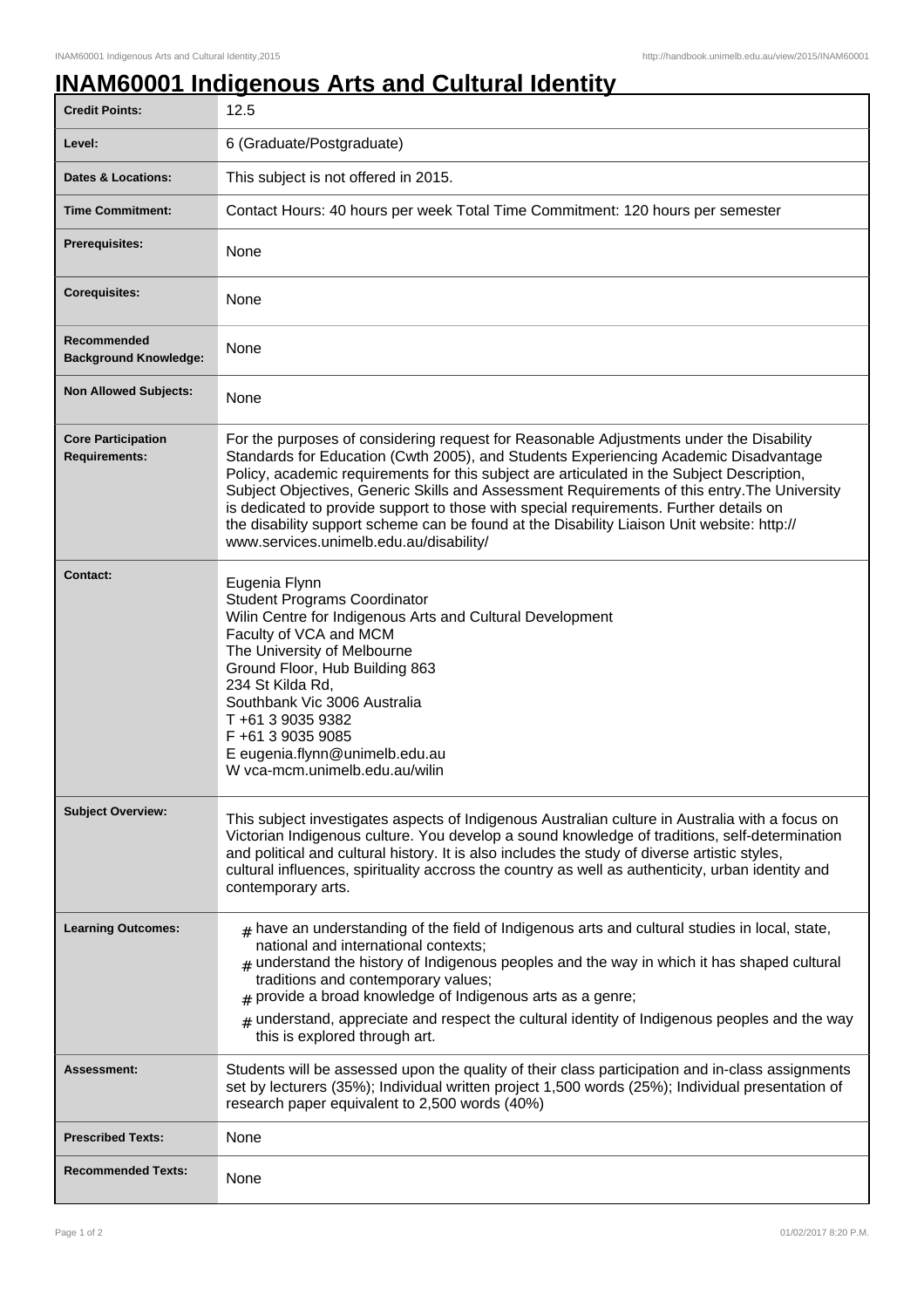## **INAM60001 Indigenous Arts and Cultural Identity**

| <b>Credit Points:</b>                             | 12.5                                                                                                                                                                                                                                                                                                                                                                                                                                                                                                                                                                                                             |
|---------------------------------------------------|------------------------------------------------------------------------------------------------------------------------------------------------------------------------------------------------------------------------------------------------------------------------------------------------------------------------------------------------------------------------------------------------------------------------------------------------------------------------------------------------------------------------------------------------------------------------------------------------------------------|
| Level:                                            | 6 (Graduate/Postgraduate)                                                                                                                                                                                                                                                                                                                                                                                                                                                                                                                                                                                        |
| <b>Dates &amp; Locations:</b>                     | This subject is not offered in 2015.                                                                                                                                                                                                                                                                                                                                                                                                                                                                                                                                                                             |
| <b>Time Commitment:</b>                           | Contact Hours: 40 hours per week Total Time Commitment: 120 hours per semester                                                                                                                                                                                                                                                                                                                                                                                                                                                                                                                                   |
| <b>Prerequisites:</b>                             | <b>None</b>                                                                                                                                                                                                                                                                                                                                                                                                                                                                                                                                                                                                      |
| <b>Corequisites:</b>                              | None                                                                                                                                                                                                                                                                                                                                                                                                                                                                                                                                                                                                             |
| Recommended<br><b>Background Knowledge:</b>       | None                                                                                                                                                                                                                                                                                                                                                                                                                                                                                                                                                                                                             |
| <b>Non Allowed Subjects:</b>                      | None                                                                                                                                                                                                                                                                                                                                                                                                                                                                                                                                                                                                             |
| <b>Core Participation</b><br><b>Requirements:</b> | For the purposes of considering request for Reasonable Adjustments under the Disability<br>Standards for Education (Cwth 2005), and Students Experiencing Academic Disadvantage<br>Policy, academic requirements for this subject are articulated in the Subject Description,<br>Subject Objectives, Generic Skills and Assessment Requirements of this entry. The University<br>is dedicated to provide support to those with special requirements. Further details on<br>the disability support scheme can be found at the Disability Liaison Unit website: http://<br>www.services.unimelb.edu.au/disability/ |
| <b>Contact:</b>                                   | Eugenia Flynn<br><b>Student Programs Coordinator</b><br>Wilin Centre for Indigenous Arts and Cultural Development<br>Faculty of VCA and MCM<br>The University of Melbourne<br>Ground Floor, Hub Building 863<br>234 St Kilda Rd,<br>Southbank Vic 3006 Australia<br>T+61 3 9035 9382<br>F +61 3 9035 9085<br>E eugenia.flynn@unimelb.edu.au<br>W vca-mcm.unimelb.edu.au/wilin                                                                                                                                                                                                                                    |
| <b>Subject Overview:</b>                          | This subject investigates aspects of Indigenous Australian culture in Australia with a focus on<br>Victorian Indigenous culture. You develop a sound knowledge of traditions, self-determination<br>and political and cultural history. It is also includes the study of diverse artistic styles,<br>cultural influences, spirituality accross the country as well as authenticity, urban identity and<br>contemporary arts.                                                                                                                                                                                     |
| <b>Learning Outcomes:</b>                         | $#$ have an understanding of the field of Indigenous arts and cultural studies in local, state,<br>national and international contexts;<br>$_{\text{\#}}$ understand the history of Indigenous peoples and the way in which it has shaped cultural<br>traditions and contemporary values;<br>$#$ provide a broad knowledge of Indigenous arts as a genre;<br>$*$ understand, appreciate and respect the cultural identity of Indigenous peoples and the way<br>this is explored through art.                                                                                                                     |
| <b>Assessment:</b>                                | Students will be assessed upon the quality of their class participation and in-class assignments<br>set by lecturers (35%); Individual written project 1,500 words (25%); Individual presentation of<br>research paper equivalent to 2,500 words (40%)                                                                                                                                                                                                                                                                                                                                                           |
| <b>Prescribed Texts:</b>                          | None                                                                                                                                                                                                                                                                                                                                                                                                                                                                                                                                                                                                             |
| <b>Recommended Texts:</b>                         | None                                                                                                                                                                                                                                                                                                                                                                                                                                                                                                                                                                                                             |